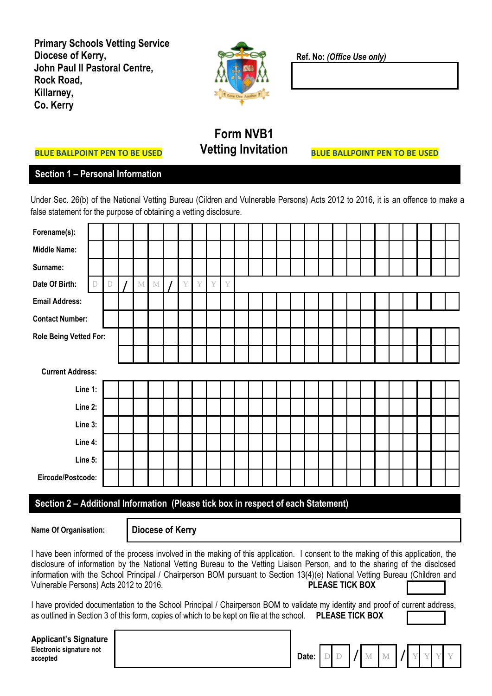**Primary Schools Vetting Service Diocese of Kerry, John Paul II Pastoral Centre, Rock Road, Killarney, Co. Kerry**



**Ref. No:** *(Office Use only)*

## **Form NVB1 Vetting Invitation**

**BLUE BALLPOINT PEN TO BE USED**

## **Section 1 – Personal Information**

**BLUE BALLPOINT PEN TO BE USED**

Under Sec. 26(b) of the National Vetting Bureau (Cildren and Vulnerable Persons) Acts 2012 to 2016, it is an offence to make a false statement for the purpose of obtaining a vetting disclosure.

| Forename(s):                                                                      |                         |   |  |   |   |  |   |   |   |   |  |  |  |  |  |  |  |  |  |
|-----------------------------------------------------------------------------------|-------------------------|---|--|---|---|--|---|---|---|---|--|--|--|--|--|--|--|--|--|
| <b>Middle Name:</b>                                                               |                         |   |  |   |   |  |   |   |   |   |  |  |  |  |  |  |  |  |  |
| Surname:                                                                          |                         |   |  |   |   |  |   |   |   |   |  |  |  |  |  |  |  |  |  |
| Date Of Birth:                                                                    | D                       | D |  | M | M |  | Y | Y | Y | Y |  |  |  |  |  |  |  |  |  |
| <b>Email Address:</b>                                                             |                         |   |  |   |   |  |   |   |   |   |  |  |  |  |  |  |  |  |  |
| <b>Contact Number:</b>                                                            |                         |   |  |   |   |  |   |   |   |   |  |  |  |  |  |  |  |  |  |
| <b>Role Being Vetted For:</b>                                                     |                         |   |  |   |   |  |   |   |   |   |  |  |  |  |  |  |  |  |  |
|                                                                                   |                         |   |  |   |   |  |   |   |   |   |  |  |  |  |  |  |  |  |  |
|                                                                                   | <b>Current Address:</b> |   |  |   |   |  |   |   |   |   |  |  |  |  |  |  |  |  |  |
| Line 1:                                                                           |                         |   |  |   |   |  |   |   |   |   |  |  |  |  |  |  |  |  |  |
| Line 2:                                                                           |                         |   |  |   |   |  |   |   |   |   |  |  |  |  |  |  |  |  |  |
| Line 3:                                                                           |                         |   |  |   |   |  |   |   |   |   |  |  |  |  |  |  |  |  |  |
| Line 4:                                                                           |                         |   |  |   |   |  |   |   |   |   |  |  |  |  |  |  |  |  |  |
| Line 5:                                                                           |                         |   |  |   |   |  |   |   |   |   |  |  |  |  |  |  |  |  |  |
| Eircode/Postcode:                                                                 |                         |   |  |   |   |  |   |   |   |   |  |  |  |  |  |  |  |  |  |
| Section 2 - Additional Information (Please tick box in respect of each Statement) |                         |   |  |   |   |  |   |   |   |   |  |  |  |  |  |  |  |  |  |

**Name Of Organisation: Diocese of Kerry** 

I have been informed of the process involved in the making of this application. I consent to the making of this application, the disclosure of information by the National Vetting Bureau to the Vetting Liaison Person, and to the sharing of the disclosed information with the School Principal / Chairperson BOM pursuant to Section 13(4)(e) National Vetting Bureau (Children and Vulnerable Persons) Acts 2012 to 2016. **PLEASE TICK BOX** 

I have provided documentation to the School Principal / Chairperson BOM to validate my identity and proof of current address, as outlined in Section 3 of this form, copies of which to be kept on file at the school. **PLEASE TICK BOX**

| Applicant's Signature                |                           |  |  |  |  |  |
|--------------------------------------|---------------------------|--|--|--|--|--|
| Electronic signature not<br>accepted | Date: $D D M M M J Y Y Y$ |  |  |  |  |  |